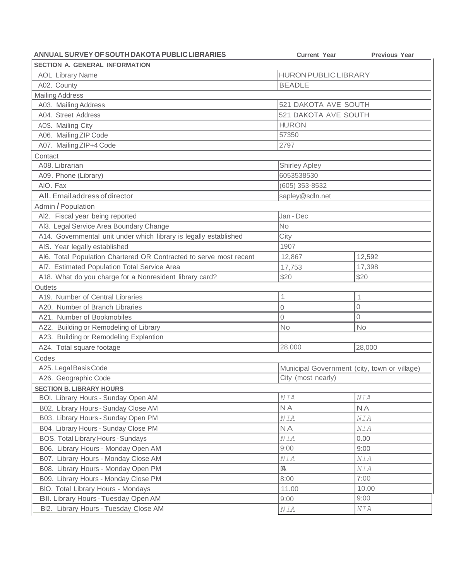| ANNUAL SURVEY OF SOUTH DAKOTA PUBLIC LIBRARIES                     | <b>Current Year</b>         | <b>Previous Year</b>                         |  |
|--------------------------------------------------------------------|-----------------------------|----------------------------------------------|--|
| <b>SECTION A. GENERAL INFORMATION</b>                              |                             |                                              |  |
| <b>AOL Library Name</b>                                            | <b>HURON PUBLIC LIBRARY</b> |                                              |  |
| A02. County                                                        | <b>BEADLE</b>               |                                              |  |
| <b>Mailing Address</b>                                             |                             |                                              |  |
| A03. Mailing Address                                               | 521 DAKOTA AVE SOUTH        |                                              |  |
| A04. Street Address                                                | 521 DAKOTA AVE SOUTH        |                                              |  |
| AOS. Mailing City                                                  | <b>HURON</b>                |                                              |  |
| A06. Mailing ZIP Code                                              | 57350                       |                                              |  |
| A07. Mailing ZIP+4 Code                                            | 2797                        |                                              |  |
| Contact                                                            |                             |                                              |  |
| A08. Librarian                                                     | <b>Shirley Apley</b>        |                                              |  |
| A09. Phone (Library)                                               | 6053538530                  |                                              |  |
| AIO. Fax                                                           | (605) 353-8532              |                                              |  |
| All. Email address of director                                     | sapley@sdln.net             |                                              |  |
| Admin / Population                                                 |                             |                                              |  |
| Al2. Fiscal year being reported                                    | Jan - Dec                   |                                              |  |
| Al3. Legal Service Area Boundary Change                            | <b>No</b>                   |                                              |  |
| A14. Governmental unit under which library is legally established  | City                        |                                              |  |
| AIS. Year legally established                                      | 1907                        |                                              |  |
| Al6. Total Population Chartered OR Contracted to serve most recent | 12,867                      | 12,592                                       |  |
| AI7. Estimated Population Total Service Area                       | 17,753                      | 17,398                                       |  |
| A18. What do you charge for a Nonresident library card?            | \$20                        | \$20                                         |  |
| Outlets                                                            |                             |                                              |  |
| A19. Number of Central Libraries                                   | 1                           | 1                                            |  |
| A20. Number of Branch Libraries                                    | 0                           | $\overline{0}$                               |  |
| A21. Number of Bookmobiles                                         | $\Omega$                    | 0                                            |  |
| A22. Building or Remodeling of Library                             | <b>No</b>                   | <b>No</b>                                    |  |
| A23. Building or Remodeling Explantion                             |                             |                                              |  |
| A24. Total square footage                                          | 28,000                      | 28,000                                       |  |
| Codes                                                              |                             |                                              |  |
| A25. Legal Basis Code                                              |                             | Municipal Government (city, town or village) |  |
| A26. Geographic Code                                               | City (most nearly)          |                                              |  |
| <b>SECTION B. LIBRARY HOURS</b>                                    |                             |                                              |  |
| BOI. Library Hours - Sunday Open AM                                | NIA                         | $NIA$                                        |  |
| B02. Library Hours - Sunday Close AM                               | <b>NA</b>                   | <b>NA</b>                                    |  |
| B03. Library Hours - Sunday Open PM                                | NIA                         | NIA                                          |  |
| B04. Library Hours - Sunday Close PM                               | <b>NA</b>                   | NIA                                          |  |
| BOS. Total Library Hours - Sundays                                 | NIA                         | 0.00                                         |  |
| B06. Library Hours - Monday Open AM                                | 9:00                        | 9:00                                         |  |
| B07. Library Hours - Monday Close AM                               | NIA                         | NIA                                          |  |
| B08. Library Hours - Monday Open PM                                | M                           | NIA                                          |  |
| B09. Library Hours - Monday Close PM                               | 8:00                        | 7:00                                         |  |
| BIO. Total Library Hours - Mondays                                 | 11.00                       | 10.00                                        |  |
| BII. Library Hours - Tuesday Open AM                               | 9:00                        | 9:00                                         |  |
|                                                                    |                             |                                              |  |
| BI2. Library Hours - Tuesday Close AM                              | N I A                       | NIA                                          |  |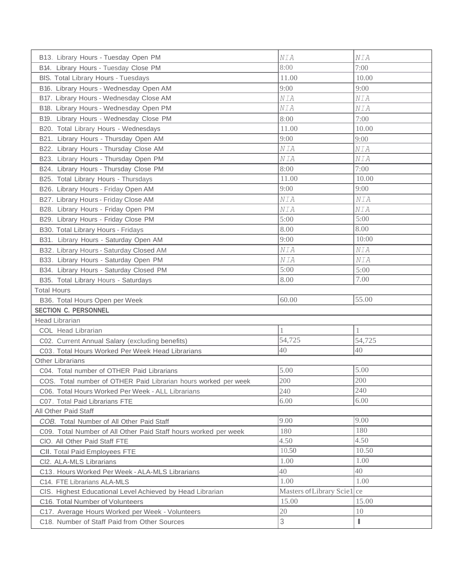| B13. Library Hours - Tuesday Open PM                            | NIA                         | NIA    |
|-----------------------------------------------------------------|-----------------------------|--------|
| B14. Library Hours - Tuesday Close PM                           | 8:00                        | 7:00   |
| BIS. Total Library Hours - Tuesdays                             | 11.00                       | 10.00  |
| B16. Library Hours - Wednesday Open AM                          | 9:00                        | 9:00   |
| B17. Library Hours - Wednesday Close AM                         | NIA                         | NIA    |
| B18. Library Hours - Wednesday Open PM                          | NIA                         | NIA    |
| B19. Library Hours - Wednesday Close PM                         | 8:00                        | 7:00   |
| B20. Total Library Hours - Wednesdays                           | 11.00                       | 10.00  |
| B21. Library Hours - Thursday Open AM                           | 9:00                        | 9:00   |
| B22. Library Hours - Thursday Close AM                          | N I A                       | NIA    |
| B23. Library Hours - Thursday Open PM                           | N I A                       | NIA    |
| B24. Library Hours - Thursday Close PM                          | 8:00                        | 7:00   |
| B25. Total Library Hours - Thursdays                            | 11.00                       | 10.00  |
| B26. Library Hours - Friday Open AM                             | 9:00                        | 9:00   |
| B27. Library Hours - Friday Close AM                            | NIA                         | NIA    |
| B28. Library Hours - Friday Open PM                             | NIA                         | NIA    |
| B29. Library Hours - Friday Close PM                            | 5:00                        | 5:00   |
| B30. Total Library Hours - Fridays                              | 8.00                        | 8.00   |
| B31. Library Hours - Saturday Open AM                           | 9:00                        | 10:00  |
| B32. Library Hours - Saturday Closed AM                         | NIA                         | NIA    |
| B33. Library Hours - Saturday Open PM                           | NIA                         | NIA    |
| B34. Library Hours - Saturday Closed PM                         | 5:00                        | 5:00   |
| B35. Total Library Hours - Saturdays                            | 8.00                        | 7.00   |
| <b>Total Hours</b>                                              |                             |        |
| B36. Total Hours Open per Week                                  | 60.00                       | 55.00  |
| <b>SECTION C. PERSONNEL</b>                                     |                             |        |
| <b>Head Librarian</b>                                           |                             |        |
| COL Head Librarian                                              |                             |        |
| C02. Current Annual Salary (excluding benefits)                 | 54,725                      | 54,725 |
| C03. Total Hours Worked Per Week Head Librarians                | 40                          | 40     |
| <b>Other Librarians</b>                                         |                             |        |
| C04. Total number of OTHER Paid Librarians                      | 5.00                        | 5.00   |
| COS. Total number of OTHER Paid Librarian hours worked per week | 200                         | 200    |
| C06. Total Hours Worked Per Week - ALL Librarians               | 240                         | 240    |
| C07. Total Paid Librarians FTE                                  | 6.00                        | 6.00   |
| All Other Paid Staff                                            |                             |        |
| COB. Total Number of All Other Paid Staff                       | 9.00                        | 9.00   |
| C09. Total Number of All Other Paid Staff hours worked per week | 180                         | 180    |
| CIO. All Other Paid Staff FTE                                   | 4.50                        | 4.50   |
| CII. Total Paid Employees FTE                                   | 10.50                       | 10.50  |
| Cl2. ALA-MLS Librarians                                         | 1.00                        | 1.00   |
| C13. Hours Worked Per Week - ALA-MLS Librarians                 |                             |        |
|                                                                 | 40                          | 40     |
| C14. FTE Librarians ALA-MLS                                     | 1.00                        | 1.00   |
| CIS. Highest Educational Level Achieved by Head Librarian       | Masters of Library Scie1 ce |        |
| C16. Total Number of Volunteers                                 | 15.00                       | 15.00  |
| C17. Average Hours Worked per Week - Volunteers                 | 20<br>3                     | 10     |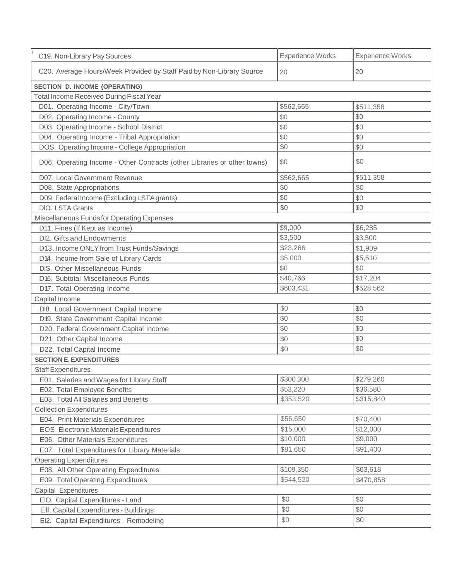| C19. Non-Library Pay Sources                                             | <b>Experience Works</b> | <b>Experience Works</b> |
|--------------------------------------------------------------------------|-------------------------|-------------------------|
| C20. Average Hours/Week Provided by Staff Paid by Non-Library Source     | 20                      | 20                      |
| <b>SECTION D. INCOME (OPERATING)</b>                                     |                         |                         |
| <b>Total Income Received During Fiscal Year</b>                          |                         |                         |
| D01. Operating Income - City/Town                                        | \$562,665               | \$511,358               |
| D02. Operating Income - County                                           | \$0                     | \$0                     |
| D03. Operating Income - School District                                  | \$0                     | \$0                     |
| D04. Operating Income - Tribal Appropriation                             | \$0                     | \$0                     |
| DOS. Operating Income - College Appropriation                            | \$0                     | \$0                     |
| D06. Operating Income - Other Contracts (other Libraries or other towns) | \$0                     | \$0                     |
| D07. Local Government Revenue                                            | \$562,665               | \$511,358               |
| D08. State Appropriations                                                | \$0                     | \$0                     |
| D09. Federal Income (Excluding LSTA grants)                              | \$0                     | \$0                     |
| DIO. LSTA Grants                                                         | \$0                     | \$0                     |
| Miscellaneous Funds for Operating Expenses                               |                         |                         |
| D11. Fines (If Kept as Income)                                           | \$9,000                 | \$6,285                 |
| DI2. Gifts and Endowments                                                | \$3,500                 | \$3,500                 |
| D13. Income ONLY from Trust Funds/Savings                                | \$23,266                | \$1,909                 |
| D14. Income from Sale of Library Cards                                   | \$5,000                 | \$5,510                 |
| DIS. Other Miscellaneous Funds                                           | \$0                     | \$0                     |
| D16. Subtotal Miscellaneous Funds                                        | \$40,766                | \$17,204                |
| D17. Total Operating Income                                              | \$603,431               | \$528,562               |
| Capital Income                                                           |                         |                         |
| DI8. Local Government Capital Income                                     | \$0                     | \$0                     |
| D19. State Government Capital Income                                     | \$0                     | \$0                     |
| D20. Federal Government Capital Income                                   | \$0                     | \$0                     |
| D21. Other Capital Income                                                | \$0                     | \$0                     |
| D22. Total Capital Income                                                | \$0                     | \$0                     |
| <b>SECTION E. EXPENDITURES</b>                                           |                         |                         |
| <b>Staff Expenditures</b>                                                |                         |                         |
| E01. Salaries and Wages for Library Staff                                | \$300,300               | 3279,260                |
| E02. Total Employee Benefits                                             | \$53,220                | \$36,580                |
| E03. Total All Salaries and Benefits                                     | \$353,520               | \$315,840               |
| <b>Collection Expenditures</b>                                           |                         |                         |
| E04. Print Materials Expenditures                                        | \$56,650                | \$70,400                |
| EOS. Electronic Materials Expenditures                                   | \$15,000                | \$12,000                |
| E06. Other Materials Expenditures                                        | \$10,000                | \$9,000                 |
| E07. Total Expenditures for Library Materials                            | \$81,650                | \$91,400                |
| <b>Operating Expenditures</b>                                            |                         |                         |
| E08. All Other Operating Expenditures                                    | \$109,350               | \$63,618                |
| E09. Total Operating Expenditures                                        | \$544,520               | \$470,858               |
| Capital Expenditures                                                     |                         |                         |
| EIO. Capital Expenditures - Land                                         | \$0                     | \$0                     |
| Ell. Capital Expenditures - Buildings                                    | \$0                     | \$0                     |
| El2. Capital Expenditures - Remodeling                                   | \$0                     | \$0                     |
|                                                                          |                         |                         |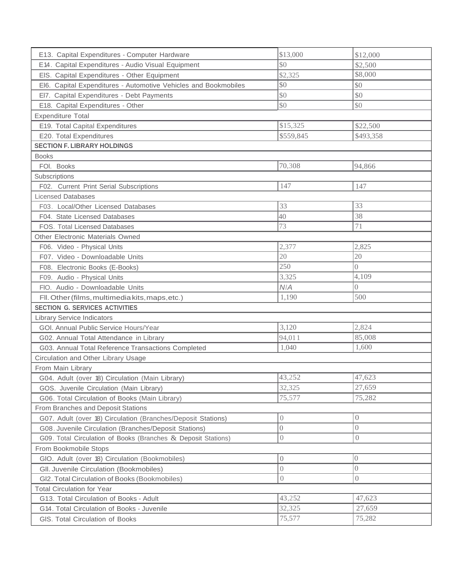| E13. Capital Expenditures - Computer Hardware                   | \$13,000                       | \$12,000         |
|-----------------------------------------------------------------|--------------------------------|------------------|
| E14. Capital Expenditures - Audio Visual Equipment              | \$0                            | \$2,500          |
| EIS. Capital Expenditures - Other Equipment                     | \$2,325                        | \$8,000          |
| El6. Capital Expenditures - Automotive Vehicles and Bookmobiles | \$0                            | \$0              |
| EI7. Capital Expenditures - Debt Payments                       | \$0                            | \$0              |
| E18. Capital Expenditures - Other                               | \$0                            | \$0              |
| <b>Expenditure Total</b>                                        |                                |                  |
| E19. Total Capital Expenditures                                 | \$15,325                       | \$22,500         |
| E20. Total Expenditures                                         | \$559,845                      | \$493,358        |
| <b>SECTION F. LIBRARY HOLDINGS</b>                              |                                |                  |
| <b>Books</b>                                                    |                                |                  |
| FOI. Books                                                      | 70,308                         | 94,866           |
| Subscriptions                                                   |                                |                  |
| F02. Current Print Serial Subscriptions                         | 147                            | 147              |
| <b>Licensed Databases</b>                                       |                                |                  |
| F03. Local/Other Licensed Databases                             | 33                             | 33               |
| F04. State Licensed Databases                                   | 40                             | 38               |
| FOS. Total Licensed Databases                                   | 73                             | 71               |
| Other Electronic Materials Owned                                |                                |                  |
| F06. Video - Physical Units                                     | 2,377                          | 2,825            |
| F07. Video - Downloadable Units                                 | 20                             | 20               |
| F08. Electronic Books (E-Books)                                 | 250                            | $\overline{0}$   |
| F09. Audio - Physical Units                                     | 3,325                          | 4,109            |
| FIO. Audio - Downloadable Units                                 | N/A                            | $\overline{0}$   |
| Fll. Other (films, multimedia kits, maps, etc.)                 | 1,190                          | 500              |
| <b>SECTION G. SERVICES ACTIVITIES</b>                           |                                |                  |
| <b>Library Service Indicators</b>                               |                                |                  |
| GOI. Annual Public Service Hours/Year                           | 3,120                          | 2,824            |
| G02. Annual Total Attendance in Library                         | 94,011                         | 85,008           |
| G03. Annual Total Reference Transactions Completed              | 1,040                          | 1,600            |
| Circulation and Other Library Usage                             |                                |                  |
| From Main Library                                               |                                |                  |
| G04. Adult (over 18) Circulation (Main Library)                 | 43,252                         | 47,623           |
| GOS. Juvenile Circulation (Main Library)                        | 32,325                         | 27,659           |
| G06. Total Circulation of Books (Main Library)                  | 75,577                         | 75,282           |
| From Branches and Deposit Stations                              |                                |                  |
| G07. Adult (over 18) Circulation (Branches/Deposit Stations)    | $\left\langle {}\right\rangle$ | $\boldsymbol{0}$ |
| G08. Juvenile Circulation (Branches/Deposit Stations)           | $\boldsymbol{0}$               | $\overline{0}$   |
| G09. Total Circulation of Books (Branches & Deposit Stations)   | $\left( \right)$               | 0                |
| From Bookmobile Stops                                           |                                |                  |
| GIO. Adult (over 18) Circulation (Bookmobiles)                  | $\boldsymbol{0}$               | $\overline{0}$   |
| GII. Juvenile Circulation (Bookmobiles)                         | $\overline{0}$                 | $\overline{0}$   |
| GI2. Total Circulation of Books (Bookmobiles)                   | $\overline{0}$                 | $\left( \right)$ |
| <b>Total Circulation for Year</b>                               |                                |                  |
| G13. Total Circulation of Books - Adult                         | 43,252                         | 47,623           |
| G14. Total Circulation of Books - Juvenile                      | 32,325                         | 27,659           |
| GIS. Total Circulation of Books                                 | 75,577                         | 75,282           |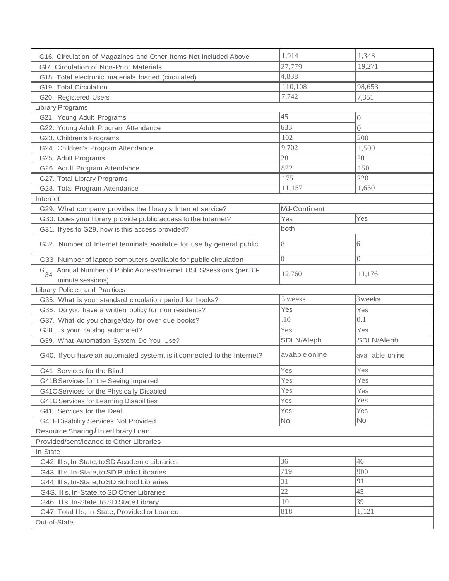| G16. Circulation of Magazines and Other Items Not Included Above                                                 | 1,914          | 1,343            |
|------------------------------------------------------------------------------------------------------------------|----------------|------------------|
| GI7. Circulation of Non-Print Materials                                                                          | 27,779         | 19,271           |
| G18. Total electronic materials loaned (circulated)                                                              | 4,838          |                  |
| G19. Total Circulation                                                                                           | 110,108        | 98,653           |
| G20. Registered Users                                                                                            | 7,742          | 7,351            |
| <b>Library Programs</b>                                                                                          |                |                  |
| G21. Young Adult Programs                                                                                        | 45             | $\boldsymbol{0}$ |
| G22. Young Adult Program Attendance                                                                              | 633            | $\overline{0}$   |
| G23. Children's Programs                                                                                         | 102            | 200              |
| G24. Children's Program Attendance                                                                               | 9,702          | 1,500            |
| G25. Adult Programs                                                                                              | 28             | 20               |
| G26. Adult Program Attendance                                                                                    | 822            | 150              |
| G27. Total Library Programs                                                                                      | 175            | 220              |
| G28. Total Program Attendance                                                                                    | 11,157         | 1,650            |
| Internet                                                                                                         |                |                  |
| G29. What company provides the library's Internet service?                                                       | Md-Continent   |                  |
| G30. Does your library provide public access to the Internet?                                                    | Yes            | Yes              |
| G31. If yes to G29, how is this access provided?                                                                 | both           |                  |
| G32. Number of Internet terminals available for use by general public                                            | 8              | 6                |
| G33. Number of laptop computers available for public circulation                                                 | $\Omega$       | $\overline{0}$   |
| G <sub>34</sub> . Annual Number of Public Access/Internet USES/sessions (per 30-<br>minute sessions)             | 12,760         | 11,176           |
|                                                                                                                  |                |                  |
|                                                                                                                  |                |                  |
| Library Policies and Practices                                                                                   | 3 weeks        | 3 weeks          |
| G35. What is your standard circulation period for books?<br>G36. Do you have a written policy for non residents? | Yes            | Yes              |
| G37. What do you charge/day for over due books?                                                                  | .10            | 0.1              |
| G38. Is your catalog automated?                                                                                  | Yes            | Yes              |
| G39. What Automation System Do You Use?                                                                          | SDLN/Aleph     | SDLN/Aleph       |
| G40. If you have an automated system, is it connected to the Internet?                                           | avabble online | avai able online |
| G41 Services for the Blind                                                                                       | Yes            | Yes              |
| G41B Services for the Seeing Impaired                                                                            | Yes            | Yes              |
| G41C Services for the Physically Disabled                                                                        | Yes            | Yes              |
| G41C Services for Learning Disabilities                                                                          | Yes            | Yes              |
| G41E Services for the Deaf                                                                                       | Yes            | Yes              |
| G41F Disability Services Not Provided                                                                            | <b>No</b>      | <b>No</b>        |
| Resource Sharing / Interlibrary Loan                                                                             |                |                  |
| Provided/sent/loaned to Other Libraries                                                                          |                |                  |
| In-State                                                                                                         |                |                  |
| G42. II s, In-State, to SD Academic Libraries                                                                    | 36             | 46               |
| G43. II s, In-State, to SD Public Libraries                                                                      | 719            | 900              |
| G44. II s, In-State, to SD School Libraries                                                                      | 31             | 91               |
| G4S. IIs, In-State, to SD Other Libraries                                                                        | 22             | 45               |
| G46. IIs, In-State, to SD State Library                                                                          | 10             | 39               |
| G47. Total IIs, In-State, Provided or Loaned<br>Out-of-State                                                     | 818            | 1,121            |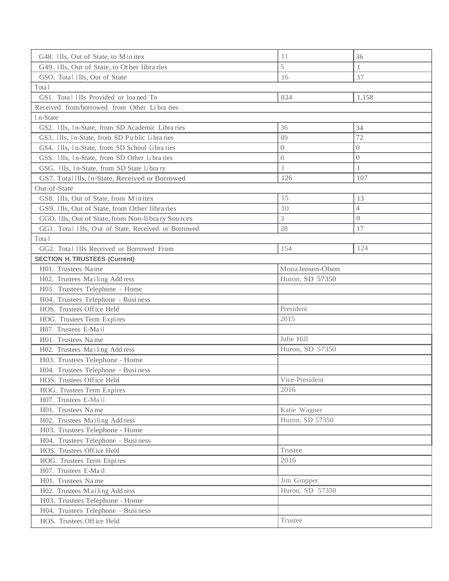| G48. Ills, Out of State, to Minitex                 | 11                | 36             |
|-----------------------------------------------------|-------------------|----------------|
| G49. Ills, Out of State, to Other libraries         | 5                 | 1              |
| GSO. Total Ills, Out of State                       | 16                | 37             |
| Tota l                                              |                   |                |
| GS1. Total Ills Provided or loaned To               | 834               | 1,158          |
| Received from/borrowed from Other Libraries         |                   |                |
| In-State                                            |                   |                |
| GS2. Ills, In-State, from SD Academic Libra ries    | 36                | 34             |
| GS3. Ills, In-State, from SD Public Libraries       | 89                | 72             |
| GS4. Ills, In-State, from SD School Libra ries      | $\boldsymbol{0}$  | $\overline{0}$ |
| GSS. Ills, In-State, from SD Other Libraries        | $\boldsymbol{0}$  | $\overline{0}$ |
| GSG. Ills, In-State, from SD State Library          | 1                 | 1              |
| GS7. Total Ills, In-State, Received or Borrowed     | 126               | 107            |
| Out-of-State                                        |                   |                |
| GS8. Ills, Out of State, from Minitex               | 15                | 13             |
| GS9. Ills, Out of State, from Other libra ries      | 10                | $\overline{4}$ |
| GGO. Ills, Out of State, from Non-library Sources   | 3                 | $\overline{0}$ |
| GG1. Total Ills, Out of State, Received or Borrowed | 28                | 17             |
| Tota l                                              |                   |                |
| GG2. Total Ills Received or Borrowed From           | 154               | 124            |
| <b>SECTION H. TRUSTEES (Current)</b>                |                   |                |
| H01. Trustees Name                                  | Mona Jensen-Olson |                |
| H02. Trustees Mailing Address                       | Huron, SD 57350   |                |
| H03. Trustees Telephone - Home                      |                   |                |
| H04. Trustees Telephone - Busi ness                 |                   |                |
| HOS. Trustees Office Held                           | President         |                |
| HOG. Trustees Term Expires                          | 2015              |                |
| H07. Trustees E-Mail                                |                   |                |
| H01. Trustees Name                                  | Julie Hill        |                |
| H02. Trustees Mailing Add ress                      | Huron, SD 57350   |                |
| H03. Trustees Telephone - Home                      |                   |                |
| H04. Trustees Telephone - Business                  |                   |                |
| HOS. Trustees Office Held                           | Vice-President    |                |
| HOG. Trustees Term Expires                          | 2016              |                |
| H07. Trustees E-Mail                                |                   |                |
| H01. Trustees Name                                  | Katie Wagner      |                |
| H02. Trustees Mailing Add ress                      | Huron, SD 57350   |                |
| H03. Trustees Telephone - Home                      |                   |                |
| H04. Trustees Telephone - Business                  |                   |                |
| HOS. Trustees Office Held                           | Trustee           |                |
| HOG. Trustees Term Expires                          | 2016              |                |
| H07. Trustees E-Mail                                |                   |                |
| H01. Trustees Name                                  | Jim Gropper       |                |
| H02. Trustees Mailing Add ress                      | Huron, SD 57350   |                |
| H03. Trustees Telephone - Home                      |                   |                |
| H04. Trustees Telephone - Business                  |                   |                |
| HOS. Trustees Office Held                           | Trustee           |                |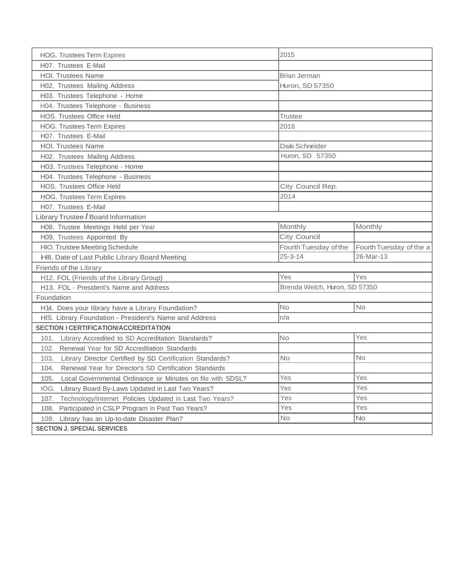| <b>HOG. Trustees Term Expires</b>                                  | 2015                          |                         |  |
|--------------------------------------------------------------------|-------------------------------|-------------------------|--|
| H07. Trustees E-Mail                                               |                               |                         |  |
| <b>HOI. Trustees Name</b>                                          | <b>Brian Jerman</b>           |                         |  |
| H02. Trustees Mailing Address                                      | Huron, SD 57350               |                         |  |
| H03. Trustees Telephone - Home                                     |                               |                         |  |
| H04. Trustees Telephone - Business                                 |                               |                         |  |
| HOS. Trustees Office Held                                          | <b>Trustee</b>                |                         |  |
| <b>HOG. Trustees Term Expires</b>                                  | 2016                          |                         |  |
| H07. Trustees E-Mail                                               |                               |                         |  |
| <b>HOI. Trustees Name</b>                                          | Dale Schneider                |                         |  |
| H02. Trustees Mailing Address                                      | Huron, SD 57350               |                         |  |
| H03. Trustees Telephone - Home                                     |                               |                         |  |
| H04. Trustees Telephone - Business                                 |                               |                         |  |
| HOS. Trustees Office Held                                          | City Council Rep.             |                         |  |
| <b>HOG. Trustees Term Expires</b>                                  | 2014                          |                         |  |
| H07. Trustees E-Mail                                               |                               |                         |  |
| Library Trustee / Board Information                                |                               |                         |  |
| H08. Trustee Meetings Held per Year                                | Monthly                       | Monthly                 |  |
| H09. Trustees Appointed By                                         | City Council                  |                         |  |
| HIO. Trustee Meeting Schedule                                      | Fourth Tuesday of the         | Fourth Tuesday of the a |  |
| HII. Date of Last Public Library Board Meeting                     | $25 - 3 - 14$                 | 26-Mar-13               |  |
| Friends of the Library                                             |                               |                         |  |
| H12. FOL (Friends of the Library Group)                            | Yes                           | Yes                     |  |
| H13. FOL - President's Name and Address                            | Brenda Welch, Huron, SD 57350 |                         |  |
| Foundation                                                         |                               |                         |  |
| H14. Does your library have a Library Foundation?                  | <b>No</b>                     | <b>No</b>               |  |
| HIS. Library Foundation - President's Name and Address             | n/a                           |                         |  |
| <b>SECTION I CERTIFICATION/ACCREDITATION</b>                       |                               |                         |  |
| 101. Library Accredited to SD Accreditation Standards?             | No                            | Yes                     |  |
| 102. Renewal Year for SD Accreditation Standards                   |                               |                         |  |
| Library Director Certified by SD Certification Standards?<br>103.  | <b>No</b>                     | <b>No</b>               |  |
| 104. Renewal Year for Director's SD Certification Standards        |                               |                         |  |
| 105.<br>Local Governmental Ordinance or Minutes on file with SDSL? | Yes                           | Yes                     |  |
| Library Board By-Laws Updated in Last Two Years?<br>IOG.           | Yes                           | Yes                     |  |
| 107. Technology/Internet Policies Updated in Last Two Years?       | Yes                           | Yes                     |  |
| 108. Participated in CSLP Program in Past Two Years?               | Yes                           | Yes                     |  |
| Library has an Up-to-date Disaster Plan?<br>109.                   | No                            | <b>No</b>               |  |
| <b>SECTION J. SPECIAL SERVICES</b>                                 |                               |                         |  |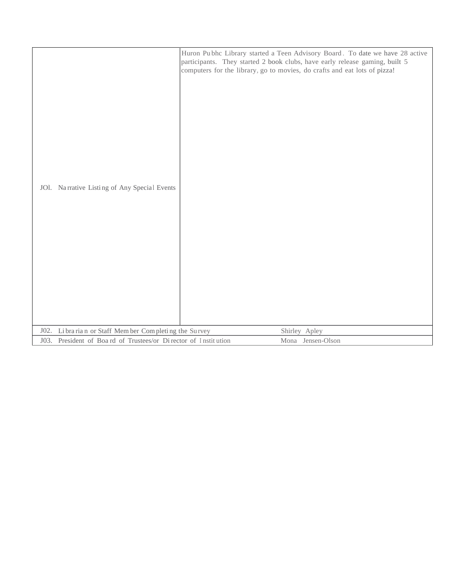| JOI. Narrative Listing of Any Special Events                   | Huron Pubhc Library started a Teen Advisory Board. To date we have 28 active<br>participants. They started 2 book clubs, have early release gaming, built 5<br>computers for the library, go to movies, do crafts and eat lots of pizza! |
|----------------------------------------------------------------|------------------------------------------------------------------------------------------------------------------------------------------------------------------------------------------------------------------------------------------|
| Librarian or Staff Member Completing the Survey<br>J02.        | Shirley Apley                                                                                                                                                                                                                            |
| J03. President of Board of Trustees/or Director of Institution | Mona Jensen-Olson                                                                                                                                                                                                                        |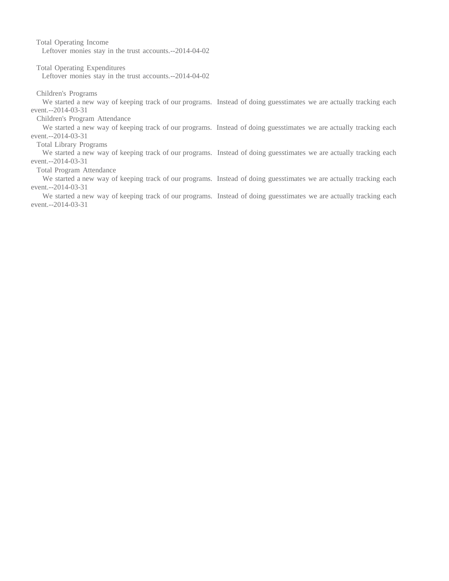Total Operating Income Leftover monies stay in the trust accounts.--2014-04-02

Total Operating Expenditures

Leftover monies stay in the trust accounts.--2014-04-02

Children's Programs

We started a new way of keeping track of our programs. Instead of doing guesstimates we are actually tracking each event.--2014-03-31

Children's Program Attendance

We started a new way of keeping track of our programs. Instead of doing guesstimates we are actually tracking each event.--2014-03-31

Total Library Programs

We started a new way of keeping track of our programs. Instead of doing guesstimates we are actually tracking each event.--2014-03-31

Total Program Attendance

We started a new way of keeping track of our programs. Instead of doing guesstimates we are actually tracking each event.--2014-03-31

We started a new way of keeping track of our programs. Instead of doing guesstimates we are actually tracking each event.--2014-03-31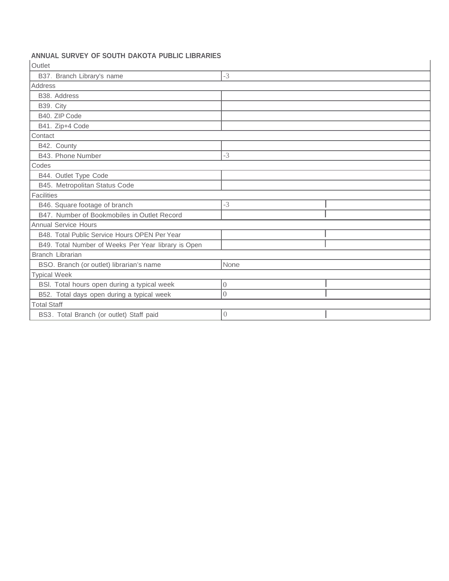## **ANNUAL SURVEY OF SOUTH DAKOTA PUBLIC LIBRARIES**

| Outlet                                              |                |  |  |
|-----------------------------------------------------|----------------|--|--|
| B37. Branch Library's name                          | $-3$           |  |  |
| Address                                             |                |  |  |
| B38. Address                                        |                |  |  |
| B39. City                                           |                |  |  |
| B40, ZIP Code                                       |                |  |  |
| B41. Zip+4 Code                                     |                |  |  |
| Contact                                             |                |  |  |
| B42. County                                         |                |  |  |
| B43. Phone Number                                   | $-3$           |  |  |
| Codes                                               |                |  |  |
| B44. Outlet Type Code                               |                |  |  |
| B45. Metropolitan Status Code                       |                |  |  |
| <b>Facilities</b>                                   |                |  |  |
| B46. Square footage of branch                       | $-3$           |  |  |
| B47. Number of Bookmobiles in Outlet Record         |                |  |  |
| <b>Annual Service Hours</b>                         |                |  |  |
| B48. Total Public Service Hours OPEN Per Year       |                |  |  |
| B49. Total Number of Weeks Per Year library is Open |                |  |  |
| Branch Librarian                                    |                |  |  |
| BSO. Branch (or outlet) librarian's name            | None           |  |  |
| <b>Typical Week</b>                                 |                |  |  |
| BSI. Total hours open during a typical week         | $\theta$       |  |  |
| B52. Total days open during a typical week          | $\overline{0}$ |  |  |
| <b>Total Staff</b>                                  |                |  |  |
| BS3. Total Branch (or outlet) Staff paid            | $\overline{0}$ |  |  |